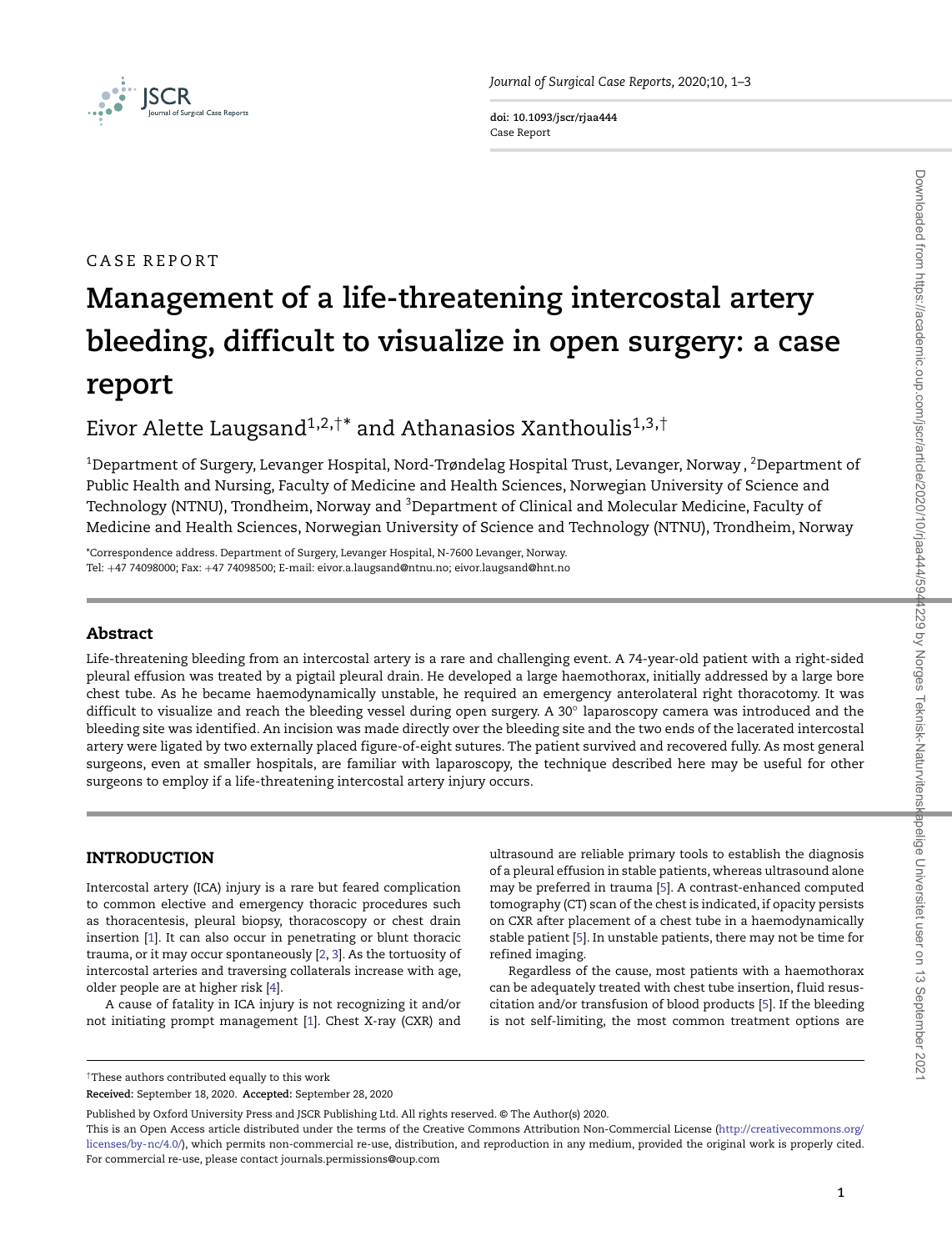

**doi: 10.1093/jscr/rjaa444** Case Report

# CASE REPORT

# **Management of a life-threatening intercostal artery bleeding, difficult to visualize in open surgery: a case report**

# Eivor Alette Laugsand<sup>1,2,†\*</sup> and Athanasios Xanthoulis<sup>1,3,†</sup>

 $^{\rm 1}$ Department of Surgery, Levanger Hospital, Nord-Trøndelag Hospital Trust, Levanger, Norway ,  $^{\rm 2}$ Department of Public Health and Nursing, Faculty of Medicine and Health Sciences, Norwegian University of Science and Technology (NTNU), Trondheim, Norway and <sup>3</sup>Department of Clinical and Molecular Medicine, Faculty of Medicine and Health Sciences, Norwegian University of Science and Technology (NTNU), Trondheim, Norway

\*Correspondence address. Department of Surgery, Levanger Hospital, N-7600 Levanger, Norway. Tel: +47 74098000; Fax: +47 74098500; E-mail: eivor.a.laugsand@ntnu.no; eivor.laugsand@hnt.no

# **Abstract**

Life-threatening bleeding from an intercostal artery is a rare and challenging event. A 74-year-old patient with a right-sided pleural effusion was treated by a pigtail pleural drain. He developed a large haemothorax, initially addressed by a large bore chest tube. As he became haemodynamically unstable, he required an emergency anterolateral right thoracotomy. It was difficult to visualize and reach the bleeding vessel during open surgery. A 30◦ laparoscopy camera was introduced and the bleeding site was identified. An incision was made directly over the bleeding site and the two ends of the lacerated intercostal artery were ligated by two externally placed figure-of-eight sutures. The patient survived and recovered fully. As most general surgeons, even at smaller hospitals, are familiar with laparoscopy, the technique described here may be useful for other surgeons to employ if a life-threatening intercostal artery injury occurs.

# **INTRODUCTION**

Intercostal artery (ICA) injury is a rare but feared complication to common elective and emergency thoracic procedures such as thoracentesis, pleural biopsy, thoracoscopy or chest drain insertion [\[1\]](#page-2-0). It can also occur in penetrating or blunt thoracic trauma, or it may occur spontaneously [\[2,](#page-2-1) [3\]](#page-2-2). As the tortuosity of intercostal arteries and traversing collaterals increase with age, older people are at higher risk [\[4\]](#page-2-3).

A cause of fatality in ICA injury is not recognizing it and/or not initiating prompt management [\[1\]](#page-2-0). Chest X-ray (CXR) and

ultrasound are reliable primary tools to establish the diagnosis of a pleural effusion in stable patients, whereas ultrasound alone may be preferred in trauma [\[5\]](#page-2-4). A contrast-enhanced computed tomography (CT) scan of the chest is indicated, if opacity persists on CXR after placement of a chest tube in a haemodynamically stable patient [\[5\]](#page-2-4). In unstable patients, there may not be time for refined imaging.

Regardless of the cause, most patients with a haemothorax can be adequately treated with chest tube insertion, fluid resuscitation and/or transfusion of blood products [\[5\]](#page-2-4). If the bleeding is not self-limiting, the most common treatment options are

<sup>†</sup>These authors contributed equally to this work

**Received:** September 18, 2020. **Accepted:** September 28, 2020

Published by Oxford University Press and JSCR Publishing Ltd. All rights reserved. © The Author(s) 2020.

This is an Open Access article distributed under the terms of the Creative Commons Attribution Non-Commercial License [\(http://creativecommons.org/](http://creativecommons.org/licenses/by-nc/4.0/) [licenses/by-nc/4.0/\)](http://creativecommons.org/licenses/by-nc/4.0/), which permits non-commercial re-use, distribution, and reproduction in any medium, provided the original work is properly cited. For commercial re-use, please contact journals.permissions@oup.com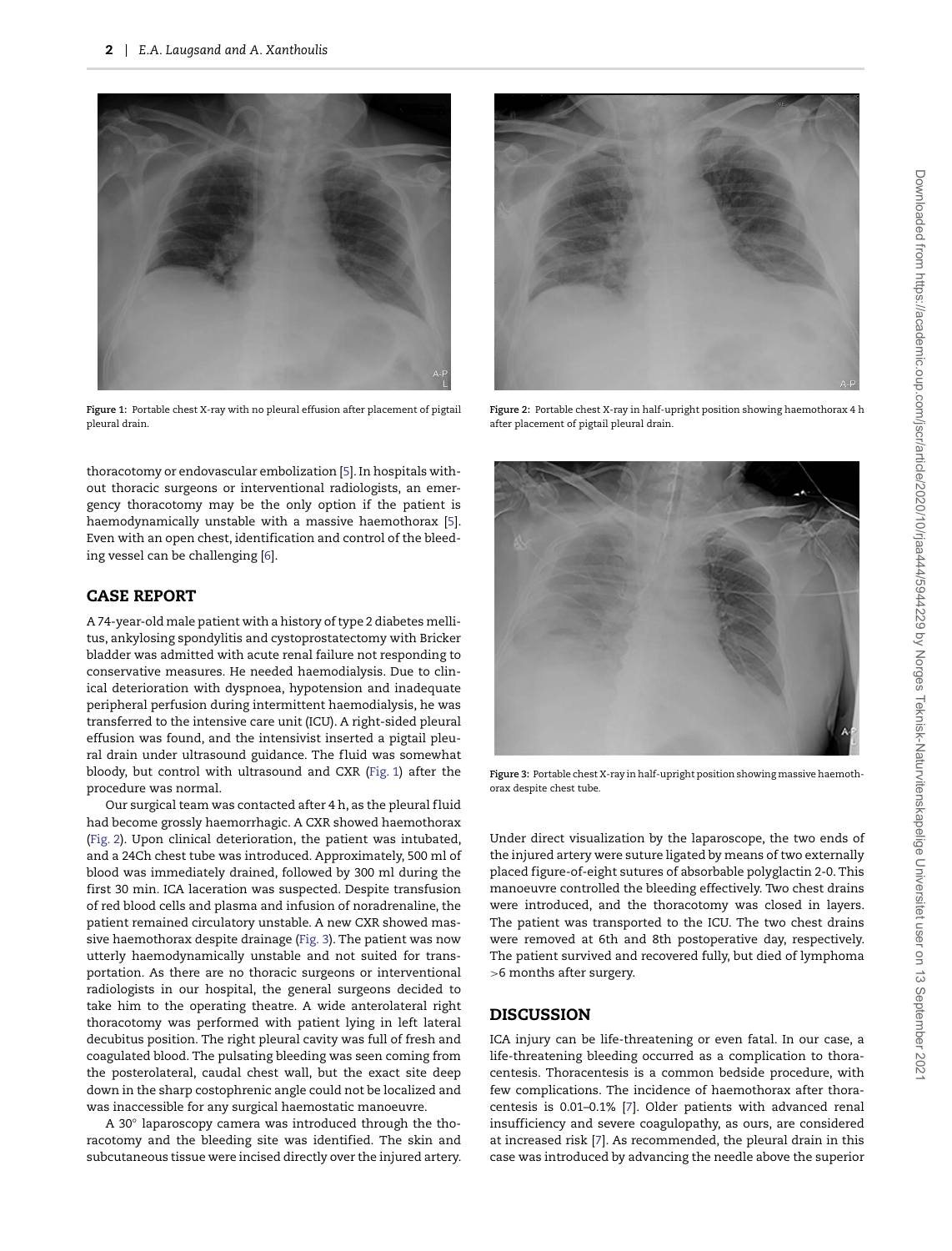

**Figure 1:** Portable chest X-ray with no pleural effusion after placement of pigtail pleural drain.

<span id="page-1-0"></span>thoracotomy or endovascular embolization [\[5\]](#page-2-4). In hospitals without thoracic surgeons or interventional radiologists, an emergency thoracotomy may be the only option if the patient is haemodynamically unstable with a massive haemothorax [\[5\]](#page-2-4). Even with an open chest, identification and control of the bleeding vessel can be challenging [\[6\]](#page-2-5).

# **CASE REPORT**

A 74-year-old male patient with a history of type 2 diabetes mellitus, ankylosing spondylitis and cystoprostatectomy with Bricker bladder was admitted with acute renal failure not responding to conservative measures. He needed haemodialysis. Due to clinical deterioration with dyspnoea, hypotension and inadequate peripheral perfusion during intermittent haemodialysis, he was transferred to the intensive care unit (ICU). A right-sided pleural effusion was found, and the intensivist inserted a pigtail pleural drain under ultrasound guidance. The fluid was somewhat bloody, but control with ultrasound and CXR [\(Fig. 1\)](#page-1-0) after the procedure was normal.

Our surgical team was contacted after 4 h, as the pleural fluid had become grossly haemorrhagic. A CXR showed haemothorax [\(Fig. 2\)](#page-1-1). Upon clinical deterioration, the patient was intubated, and a 24Ch chest tube was introduced. Approximately, 500 ml of blood was immediately drained, followed by 300 ml during the first 30 min. ICA laceration was suspected. Despite transfusion of red blood cells and plasma and infusion of noradrenaline, the patient remained circulatory unstable. A new CXR showed massive haemothorax despite drainage [\(Fig. 3\)](#page-1-2). The patient was now utterly haemodynamically unstable and not suited for transportation. As there are no thoracic surgeons or interventional radiologists in our hospital, the general surgeons decided to take him to the operating theatre. A wide anterolateral right thoracotomy was performed with patient lying in left lateral decubitus position. The right pleural cavity was full of fresh and coagulated blood. The pulsating bleeding was seen coming from the posterolateral, caudal chest wall, but the exact site deep down in the sharp costophrenic angle could not be localized and was inaccessible for any surgical haemostatic manoeuvre.

A 30◦ laparoscopy camera was introduced through the thoracotomy and the bleeding site was identified. The skin and subcutaneous tissue were incised directly over the injured artery.



**Figure 2:** Portable chest X-ray in half-upright position showing haemothorax 4 h after placement of pigtail pleural drain.

<span id="page-1-1"></span>

**Figure 3:** Portable chest X-ray in half-upright position showing massive haemothorax despite chest tube.

<span id="page-1-2"></span>Under direct visualization by the laparoscope, the two ends of the injured artery were suture ligated by means of two externally placed figure-of-eight sutures of absorbable polyglactin 2-0. This manoeuvre controlled the bleeding effectively. Two chest drains were introduced, and the thoracotomy was closed in layers. The patient was transported to the ICU. The two chest drains were removed at 6th and 8th postoperative day, respectively. The patient survived and recovered fully, but died of lymphoma *>*6 months after surgery.

## **DISCUSSION**

ICA injury can be life-threatening or even fatal. In our case, a life-threatening bleeding occurred as a complication to thoracentesis. Thoracentesis is a common bedside procedure, with few complications. The incidence of haemothorax after thoracentesis is 0.01–0.1% [\[7\]](#page-2-6). Older patients with advanced renal insufficiency and severe coagulopathy, as ours, are considered at increased risk [\[7\]](#page-2-6). As recommended, the pleural drain in this case was introduced by advancing the needle above the superior